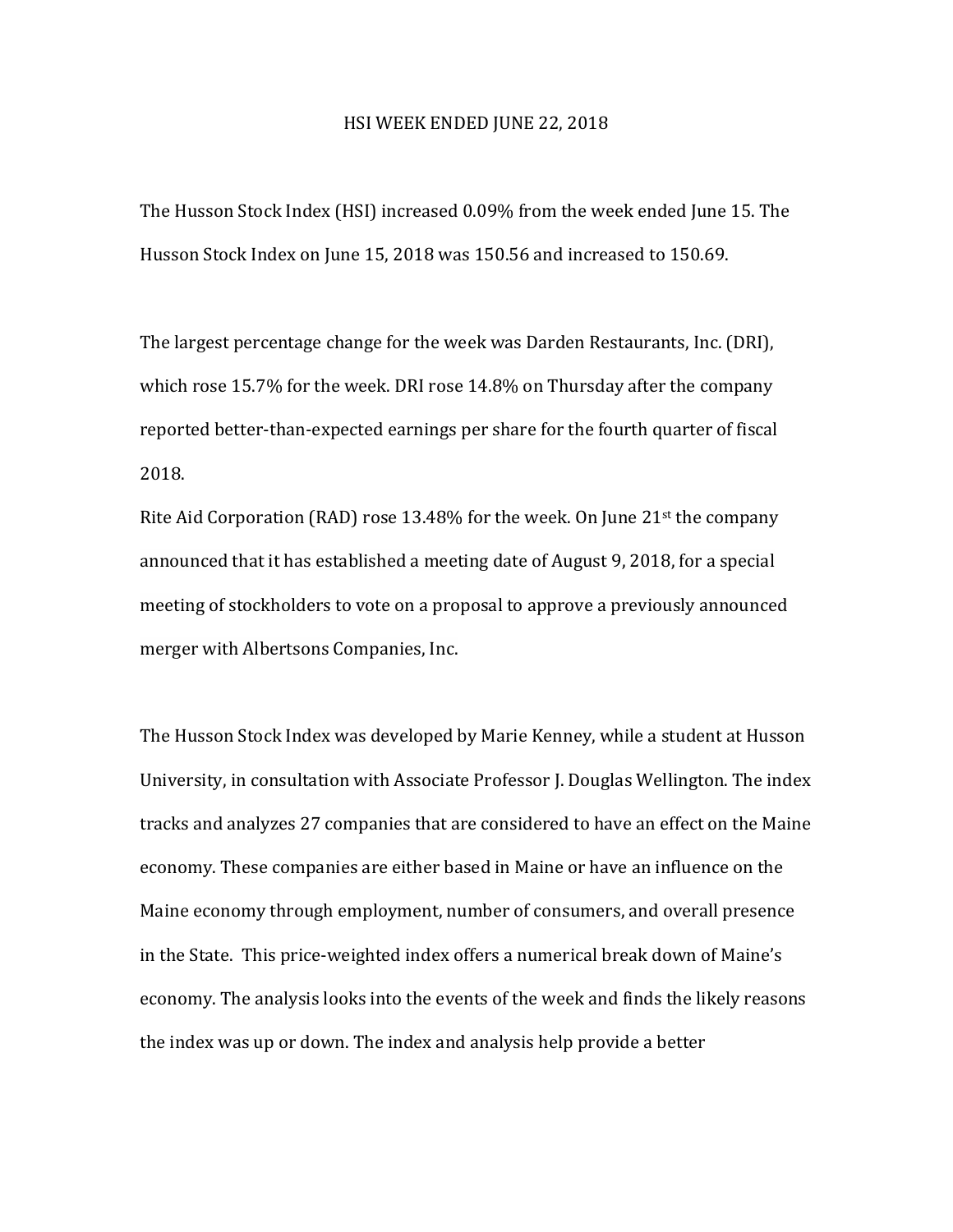## HSI WEEK ENDED JUNE 22, 2018

The Husson Stock Index (HSI) increased 0.09% from the week ended June 15. The Husson Stock Index on June 15, 2018 was 150.56 and increased to 150.69.

The largest percentage change for the week was Darden Restaurants, Inc. (DRI), which rose  $15.7\%$  for the week. DRI rose  $14.8\%$  on Thursday after the company reported better-than-expected earnings per share for the fourth quarter of fiscal 2018.

Rite Aid Corporation (RAD) rose 13.48% for the week. On June  $21^{st}$  the company announced that it has established a meeting date of August 9, 2018, for a special meeting of stockholders to vote on a proposal to approve a previously announced merger with Albertsons Companies, Inc.

The Husson Stock Index was developed by Marie Kenney, while a student at Husson University, in consultation with Associate Professor I. Douglas Wellington. The index tracks and analyzes 27 companies that are considered to have an effect on the Maine economy. These companies are either based in Maine or have an influence on the Maine economy through employment, number of consumers, and overall presence in the State. This price-weighted index offers a numerical break down of Maine's economy. The analysis looks into the events of the week and finds the likely reasons the index was up or down. The index and analysis help provide a better